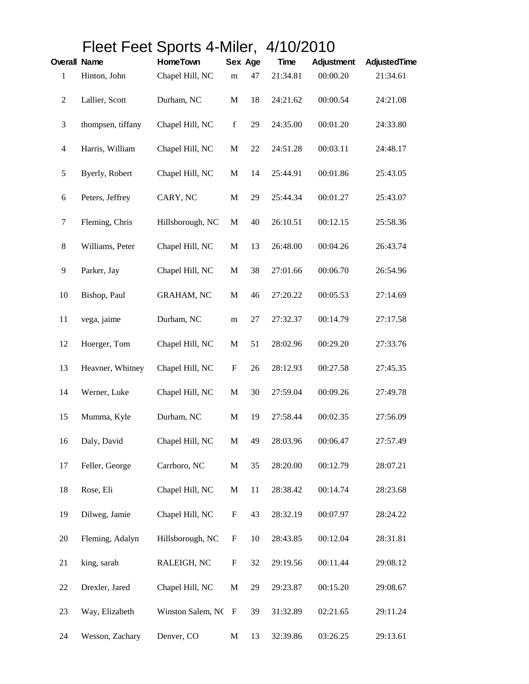|                     |                   | Fleet Feet Sports 4-Miler, 4/10/2010 |                           |    |             |                   |              |  |
|---------------------|-------------------|--------------------------------------|---------------------------|----|-------------|-------------------|--------------|--|
| <b>Overall Name</b> |                   | <b>HomeTown</b>                      | Sex Age                   |    | <b>Time</b> | <b>Adjustment</b> | AdjustedTime |  |
| 1                   | Hinton, John      | Chapel Hill, NC                      | m                         | 47 | 21:34.81    | 00:00.20          | 21:34.61     |  |
| $\overline{c}$      | Lallier, Scott    | Durham, NC                           | $\mathbf M$               | 18 | 24:21.62    | 00:00.54          | 24:21.08     |  |
| 3                   | thompsen, tiffany | Chapel Hill, NC                      | $\mathbf f$               | 29 | 24:35.00    | 00:01.20          | 24:33.80     |  |
| $\overline{4}$      | Harris, William   | Chapel Hill, NC                      | $\mathbf M$               | 22 | 24:51.28    | 00:03.11          | 24:48.17     |  |
| 5                   | Byerly, Robert    | Chapel Hill, NC                      | M                         | 14 | 25:44.91    | 00:01.86          | 25:43.05     |  |
| 6                   | Peters, Jeffrey   | CARY, NC                             | $\mathbf M$               | 29 | 25:44.34    | 00:01.27          | 25:43.07     |  |
| 7                   | Fleming, Chris    | Hillsborough, NC                     | M                         | 40 | 26:10.51    | 00:12.15          | 25:58.36     |  |
| 8                   | Williams, Peter   | Chapel Hill, NC                      | $\mathbf M$               | 13 | 26:48.00    | 00:04.26          | 26:43.74     |  |
| 9                   | Parker, Jay       | Chapel Hill, NC                      | M                         | 38 | 27:01.66    | 00:06.70          | 26:54.96     |  |
| 10                  | Bishop, Paul      | <b>GRAHAM, NC</b>                    | M                         | 46 | 27:20.22    | 00:05.53          | 27:14.69     |  |
| 11                  | vega, jaime       | Durham, NC                           | m                         | 27 | 27:32.37    | 00:14.79          | 27:17.58     |  |
| 12                  | Hoerger, Tom      | Chapel Hill, NC                      | M                         | 51 | 28:02.96    | 00:29.20          | 27:33.76     |  |
| 13                  | Heavner, Whitney  | Chapel Hill, NC                      | $\boldsymbol{\mathrm{F}}$ | 26 | 28:12.93    | 00:27.58          | 27:45.35     |  |
| 14                  | Werner, Luke      | Chapel Hill, NC                      | $\mathbf M$               | 30 | 27:59.04    | 00:09.26          | 27:49.78     |  |
| 15                  | Mumma, Kyle       | Durham, NC                           | M                         | 19 | 27:58.44    | 00:02.35          | 27:56.09     |  |
| 16                  | Daly, David       | Chapel Hill, NC                      | $\mathbf M$               | 49 | 28:03.96    | 00:06.47          | 27:57.49     |  |
| 17                  | Feller, George    | Carrboro, NC                         | M                         | 35 | 28:20.00    | 00:12.79          | 28:07.21     |  |
| 18                  | Rose, Eli         | Chapel Hill, NC                      | M                         | 11 | 28:38.42    | 00:14.74          | 28:23.68     |  |
| 19                  | Dilweg, Jamie     | Chapel Hill, NC                      | $\boldsymbol{\mathrm{F}}$ | 43 | 28:32.19    | 00:07.97          | 28:24.22     |  |
| 20                  | Fleming, Adalyn   | Hillsborough, NC                     | $\boldsymbol{\mathrm{F}}$ | 10 | 28:43.85    | 00:12.04          | 28:31.81     |  |
| 21                  | king, sarah       | RALEIGH, NC                          | F                         | 32 | 29:19.56    | 00:11.44          | 29:08.12     |  |
| 22                  | Drexler, Jared    | Chapel Hill, NC                      | $\mathbf M$               | 29 | 29:23.87    | 00:15.20          | 29:08.67     |  |
| 23                  | Way, Elizabeth    | Winston Salem, NC                    | $\mathbf{F}$              | 39 | 31:32.89    | 02:21.65          | 29:11.24     |  |
| 24                  | Wesson, Zachary   | Denver, CO                           | $\mathbf M$               | 13 | 32:39.86    | 03:26.25          | 29:13.61     |  |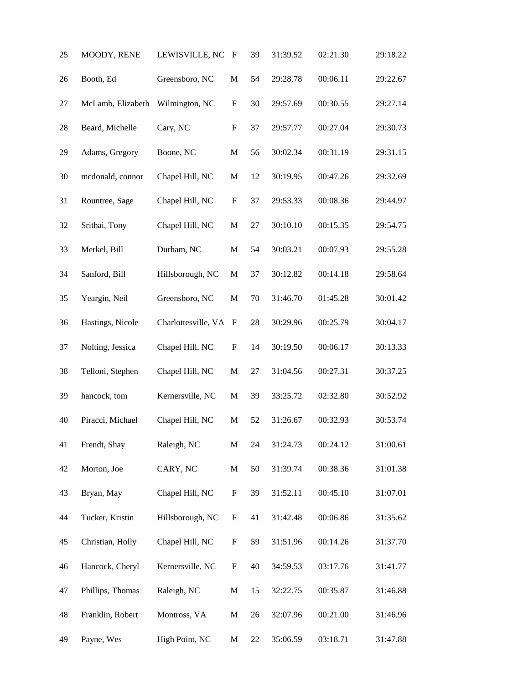| 25 | MOODY, RENE       | LEWISVILLE, NC      | F                         | 39     | 31:39.52 | 02:21.30 | 29:18.22 |
|----|-------------------|---------------------|---------------------------|--------|----------|----------|----------|
| 26 | Booth, Ed         | Greensboro, NC      | $\mathbf M$               | 54     | 29:28.78 | 00:06.11 | 29:22.67 |
| 27 | McLamb, Elizabeth | Wilmington, NC      | $\boldsymbol{\mathrm{F}}$ | 30     | 29:57.69 | 00:30.55 | 29:27.14 |
| 28 | Beard, Michelle   | Cary, NC            | $\boldsymbol{\mathrm{F}}$ | 37     | 29:57.77 | 00:27.04 | 29:30.73 |
| 29 | Adams, Gregory    | Boone, NC           | $\mathbf M$               | 56     | 30:02.34 | 00:31.19 | 29:31.15 |
| 30 | mcdonald, connor  | Chapel Hill, NC     | $\mathbf M$               | 12     | 30:19.95 | 00:47.26 | 29:32.69 |
| 31 | Rountree, Sage    | Chapel Hill, NC     | $\boldsymbol{\mathrm{F}}$ | 37     | 29:53.33 | 00:08.36 | 29:44.97 |
| 32 | Srithai, Tony     | Chapel Hill, NC     | $\mathbf M$               | 27     | 30:10.10 | 00:15.35 | 29:54.75 |
| 33 | Merkel, Bill      | Durham, NC          | $\mathbf M$               | 54     | 30:03.21 | 00:07.93 | 29:55.28 |
| 34 | Sanford, Bill     | Hillsborough, NC    | $\mathbf M$               | 37     | 30:12.82 | 00:14.18 | 29:58.64 |
| 35 | Yeargin, Neil     | Greensboro, NC      | $\mathbf M$               | 70     | 31:46.70 | 01:45.28 | 30:01.42 |
| 36 | Hastings, Nicole  | Charlottesville, VA | F                         | $28\,$ | 30:29.96 | 00:25.79 | 30:04.17 |
| 37 | Nolting, Jessica  | Chapel Hill, NC     | $\boldsymbol{\mathrm{F}}$ | 14     | 30:19.50 | 00:06.17 | 30:13.33 |
| 38 | Telloni, Stephen  | Chapel Hill, NC     | $\mathbf M$               | 27     | 31:04.56 | 00:27.31 | 30:37.25 |
| 39 | hancock, tom      | Kernersville, NC    | M                         | 39     | 33:25.72 | 02:32.80 | 30:52.92 |
| 40 | Piracci, Michael  | Chapel Hill, NC     | $\mathbf M$               | 52     | 31:26.67 | 00:32.93 | 30:53.74 |
| 41 | Frendt, Shay      | Raleigh, NC         | $\mathbf M$               | 24     | 31:24.73 | 00:24.12 | 31:00.61 |
| 42 | Morton, Joe       | CARY, NC            | $\mathbf M$               | 50     | 31:39.74 | 00:38.36 | 31:01.38 |
| 43 | Bryan, May        | Chapel Hill, NC     | $\boldsymbol{\mathrm{F}}$ | 39     | 31:52.11 | 00:45.10 | 31:07.01 |
| 44 | Tucker, Kristin   | Hillsborough, NC    | ${\bf F}$                 | 41     | 31:42.48 | 00:06.86 | 31:35.62 |
| 45 | Christian, Holly  | Chapel Hill, NC     | F                         | 59     | 31:51.96 | 00:14.26 | 31:37.70 |
| 46 | Hancock, Cheryl   | Kernersville, NC    | ${\bf F}$                 | 40     | 34:59.53 | 03:17.76 | 31:41.77 |
| 47 | Phillips, Thomas  | Raleigh, NC         | $\mathbf M$               | 15     | 32:22.75 | 00:35.87 | 31:46.88 |
| 48 | Franklin, Robert  | Montross, VA        | $\mathbf M$               | 26     | 32:07.96 | 00:21.00 | 31:46.96 |
| 49 | Payne, Wes        | High Point, NC      | M                         | 22     | 35:06.59 | 03:18.71 | 31:47.88 |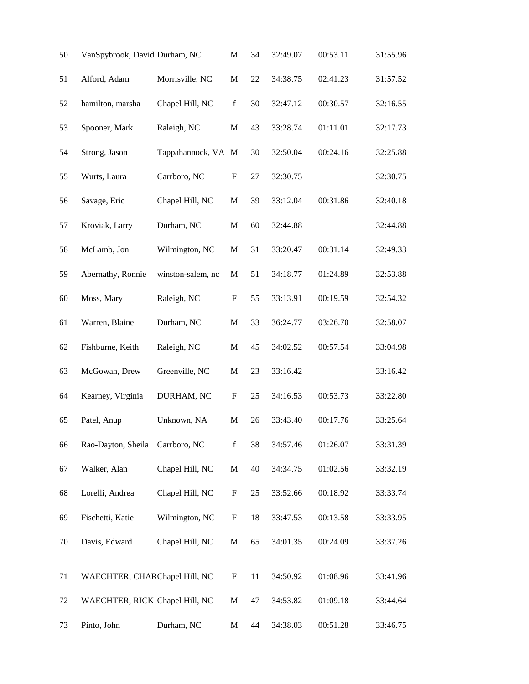| 50     | VanSpybrook, David Durham, NC  |                   | M                         | 34 | 32:49.07 | 00:53.11 | 31:55.96 |
|--------|--------------------------------|-------------------|---------------------------|----|----------|----------|----------|
| 51     | Alford, Adam                   | Morrisville, NC   | $\mathbf M$               | 22 | 34:38.75 | 02:41.23 | 31:57.52 |
| 52     | hamilton, marsha               | Chapel Hill, NC   | $\mathbf f$               | 30 | 32:47.12 | 00:30.57 | 32:16.55 |
| 53     | Spooner, Mark                  | Raleigh, NC       | M                         | 43 | 33:28.74 | 01:11.01 | 32:17.73 |
| 54     | Strong, Jason                  | Tappahannock, VA  | M                         | 30 | 32:50.04 | 00:24.16 | 32:25.88 |
| 55     | Wurts, Laura                   | Carrboro, NC      | $\boldsymbol{\mathrm{F}}$ | 27 | 32:30.75 |          | 32:30.75 |
| 56     | Savage, Eric                   | Chapel Hill, NC   | $\mathbf M$               | 39 | 33:12.04 | 00:31.86 | 32:40.18 |
| 57     | Kroviak, Larry                 | Durham, NC        | $\mathbf M$               | 60 | 32:44.88 |          | 32:44.88 |
| 58     | McLamb, Jon                    | Wilmington, NC    | M                         | 31 | 33:20.47 | 00:31.14 | 32:49.33 |
| 59     | Abernathy, Ronnie              | winston-salem, nc | $\mathbf M$               | 51 | 34:18.77 | 01:24.89 | 32:53.88 |
| 60     | Moss, Mary                     | Raleigh, NC       | F                         | 55 | 33:13.91 | 00:19.59 | 32:54.32 |
| 61     | Warren, Blaine                 | Durham, NC        | M                         | 33 | 36:24.77 | 03:26.70 | 32:58.07 |
| 62     | Fishburne, Keith               | Raleigh, NC       | $\mathbf M$               | 45 | 34:02.52 | 00:57.54 | 33:04.98 |
| 63     | McGowan, Drew                  | Greenville, NC    | $\mathbf M$               | 23 | 33:16.42 |          | 33:16.42 |
| 64     | Kearney, Virginia              | DURHAM, NC        | F                         | 25 | 34:16.53 | 00:53.73 | 33:22.80 |
| 65     | Patel, Anup                    | Unknown, NA       | M                         | 26 | 33:43.40 | 00:17.76 | 33:25.64 |
| 66     | Rao-Dayton, Sheila             | Carrboro, NC      | $\mathbf f$               | 38 | 34:57.46 | 01:26.07 | 33:31.39 |
| 67     | Walker, Alan                   | Chapel Hill, NC   | $\mathbf M$               | 40 | 34:34.75 | 01:02.56 | 33:32.19 |
| 68     | Lorelli, Andrea                | Chapel Hill, NC   | $\boldsymbol{\mathrm{F}}$ | 25 | 33:52.66 | 00:18.92 | 33:33.74 |
| 69     | Fischetti, Katie               | Wilmington, NC    | $\boldsymbol{\mathrm{F}}$ | 18 | 33:47.53 | 00:13.58 | 33:33.95 |
| 70     | Davis, Edward                  | Chapel Hill, NC   | $\mathbf M$               | 65 | 34:01.35 | 00:24.09 | 33:37.26 |
| 71     | WAECHTER, CHARChapel Hill, NC  |                   | $\mathbf F$               | 11 | 34:50.92 | 01:08.96 | 33:41.96 |
| $72\,$ | WAECHTER, RICK Chapel Hill, NC |                   | $\mathbf M$               | 47 | 34:53.82 | 01:09.18 | 33:44.64 |
| 73     | Pinto, John                    | Durham, NC        | M                         | 44 | 34:38.03 | 00:51.28 | 33:46.75 |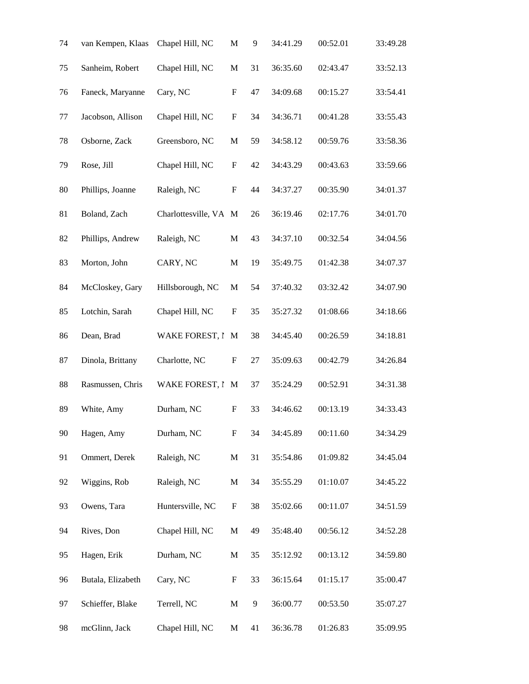| 74 | van Kempen, Klaas | Chapel Hill, NC     | M                         | 9  | 34:41.29 | 00:52.01 | 33:49.28 |
|----|-------------------|---------------------|---------------------------|----|----------|----------|----------|
| 75 | Sanheim, Robert   | Chapel Hill, NC     | M                         | 31 | 36:35.60 | 02:43.47 | 33:52.13 |
| 76 | Faneck, Maryanne  | Cary, NC            | F                         | 47 | 34:09.68 | 00:15.27 | 33:54.41 |
| 77 | Jacobson, Allison | Chapel Hill, NC     | F                         | 34 | 34:36.71 | 00:41.28 | 33:55.43 |
| 78 | Osborne, Zack     | Greensboro, NC      | $\mathbf M$               | 59 | 34:58.12 | 00:59.76 | 33:58.36 |
| 79 | Rose, Jill        | Chapel Hill, NC     | $\boldsymbol{\mathrm{F}}$ | 42 | 34:43.29 | 00:43.63 | 33:59.66 |
| 80 | Phillips, Joanne  | Raleigh, NC         | $\mathbf F$               | 44 | 34:37.27 | 00:35.90 | 34:01.37 |
| 81 | Boland, Zach      | Charlottesville, VA | M                         | 26 | 36:19.46 | 02:17.76 | 34:01.70 |
| 82 | Phillips, Andrew  | Raleigh, NC         | $\mathbf M$               | 43 | 34:37.10 | 00:32.54 | 34:04.56 |
| 83 | Morton, John      | CARY, NC            | $\mathbf M$               | 19 | 35:49.75 | 01:42.38 | 34:07.37 |
| 84 | McCloskey, Gary   | Hillsborough, NC    | M                         | 54 | 37:40.32 | 03:32.42 | 34:07.90 |
| 85 | Lotchin, Sarah    | Chapel Hill, NC     | F                         | 35 | 35:27.32 | 01:08.66 | 34:18.66 |
| 86 | Dean, Brad        | WAKE FOREST, I      | M                         | 38 | 34:45.40 | 00:26.59 | 34:18.81 |
| 87 | Dinola, Brittany  | Charlotte, NC       | F                         | 27 | 35:09.63 | 00:42.79 | 34:26.84 |
| 88 | Rasmussen, Chris  | WAKE FOREST, I      | M                         | 37 | 35:24.29 | 00:52.91 | 34:31.38 |
| 89 | White, Amy        | Durham, NC          | F                         | 33 | 34:46.62 | 00:13.19 | 34:33.43 |
| 90 | Hagen, Amy        | Durham, NC          | ${\rm F}$                 | 34 | 34:45.89 | 00:11.60 | 34:34.29 |
| 91 | Ommert, Derek     | Raleigh, NC         | $\mathbf M$               | 31 | 35:54.86 | 01:09.82 | 34:45.04 |
| 92 | Wiggins, Rob      | Raleigh, NC         | $\mathbf M$               | 34 | 35:55.29 | 01:10.07 | 34:45.22 |
| 93 | Owens, Tara       | Huntersville, NC    | ${\bf F}$                 | 38 | 35:02.66 | 00:11.07 | 34:51.59 |
| 94 | Rives, Don        | Chapel Hill, NC     | $\mathbf M$               | 49 | 35:48.40 | 00:56.12 | 34:52.28 |
| 95 | Hagen, Erik       | Durham, NC          | $\mathbf M$               | 35 | 35:12.92 | 00:13.12 | 34:59.80 |
| 96 | Butala, Elizabeth | Cary, NC            | F                         | 33 | 36:15.64 | 01:15.17 | 35:00.47 |
| 97 | Schieffer, Blake  | Terrell, NC         | M                         | 9  | 36:00.77 | 00:53.50 | 35:07.27 |
| 98 | mcGlinn, Jack     | Chapel Hill, NC     | M                         | 41 | 36:36.78 | 01:26.83 | 35:09.95 |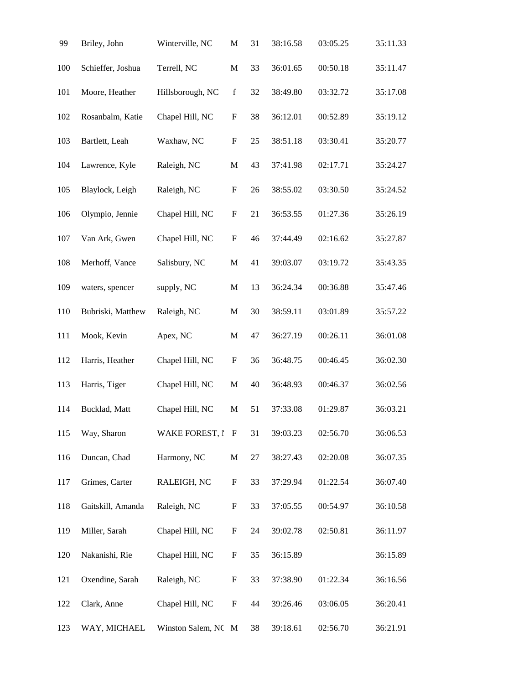| 99  | Briley, John      | Winterville, NC     | M                         | 31 | 38:16.58 | 03:05.25 | 35:11.33 |
|-----|-------------------|---------------------|---------------------------|----|----------|----------|----------|
| 100 | Schieffer, Joshua | Terrell, NC         | M                         | 33 | 36:01.65 | 00:50.18 | 35:11.47 |
| 101 | Moore, Heather    | Hillsborough, NC    | $\mathbf f$               | 32 | 38:49.80 | 03:32.72 | 35:17.08 |
| 102 | Rosanbalm, Katie  | Chapel Hill, NC     | F                         | 38 | 36:12.01 | 00:52.89 | 35:19.12 |
| 103 | Bartlett, Leah    | Waxhaw, NC          | $\boldsymbol{\mathrm{F}}$ | 25 | 38:51.18 | 03:30.41 | 35:20.77 |
| 104 | Lawrence, Kyle    | Raleigh, NC         | $\mathbf M$               | 43 | 37:41.98 | 02:17.71 | 35:24.27 |
| 105 | Blaylock, Leigh   | Raleigh, NC         | $\boldsymbol{\mathrm{F}}$ | 26 | 38:55.02 | 03:30.50 | 35:24.52 |
| 106 | Olympio, Jennie   | Chapel Hill, NC     | ${\bf F}$                 | 21 | 36:53.55 | 01:27.36 | 35:26.19 |
| 107 | Van Ark, Gwen     | Chapel Hill, NC     | $\boldsymbol{\mathrm{F}}$ | 46 | 37:44.49 | 02:16.62 | 35:27.87 |
| 108 | Merhoff, Vance    | Salisbury, NC       | $\mathbf M$               | 41 | 39:03.07 | 03:19.72 | 35:43.35 |
| 109 | waters, spencer   | supply, NC          | $\mathbf M$               | 13 | 36:24.34 | 00:36.88 | 35:47.46 |
| 110 | Bubriski, Matthew | Raleigh, NC         | $\mathbf M$               | 30 | 38:59.11 | 03:01.89 | 35:57.22 |
| 111 | Mook, Kevin       | Apex, NC            | M                         | 47 | 36:27.19 | 00:26.11 | 36:01.08 |
| 112 | Harris, Heather   | Chapel Hill, NC     | $\boldsymbol{\mathrm{F}}$ | 36 | 36:48.75 | 00:46.45 | 36:02.30 |
| 113 | Harris, Tiger     | Chapel Hill, NC     | M                         | 40 | 36:48.93 | 00:46.37 | 36:02.56 |
| 114 | Bucklad, Matt     | Chapel Hill, NC     | $\mathbf M$               | 51 | 37:33.08 | 01:29.87 | 36:03.21 |
| 115 | Way, Sharon       | WAKE FOREST, I F    |                           | 31 | 39:03.23 | 02:56.70 | 36:06.53 |
| 116 | Duncan, Chad      | Harmony, NC         | M                         | 27 | 38:27.43 | 02:20.08 | 36:07.35 |
| 117 | Grimes, Carter    | RALEIGH, NC         | $\boldsymbol{\mathrm{F}}$ | 33 | 37:29.94 | 01:22.54 | 36:07.40 |
| 118 | Gaitskill, Amanda | Raleigh, NC         | $\boldsymbol{\mathrm{F}}$ | 33 | 37:05.55 | 00:54.97 | 36:10.58 |
| 119 | Miller, Sarah     | Chapel Hill, NC     | $\boldsymbol{\mathrm{F}}$ | 24 | 39:02.78 | 02:50.81 | 36:11.97 |
| 120 | Nakanishi, Rie    | Chapel Hill, NC     | $\boldsymbol{F}$          | 35 | 36:15.89 |          | 36:15.89 |
| 121 | Oxendine, Sarah   | Raleigh, NC         | $\boldsymbol{\mathrm{F}}$ | 33 | 37:38.90 | 01:22.34 | 36:16.56 |
| 122 | Clark, Anne       | Chapel Hill, NC     | ${\rm F}$                 | 44 | 39:26.46 | 03:06.05 | 36:20.41 |
| 123 | WAY, MICHAEL      | Winston Salem, NC M |                           | 38 | 39:18.61 | 02:56.70 | 36:21.91 |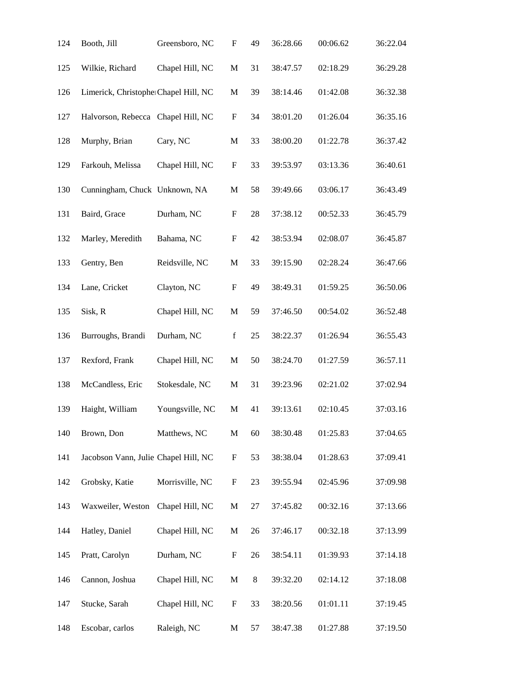| 124 | Booth, Jill                          | Greensboro, NC  | F                         | 49 | 36:28.66 | 00:06.62 | 36:22.04 |
|-----|--------------------------------------|-----------------|---------------------------|----|----------|----------|----------|
| 125 | Wilkie, Richard                      | Chapel Hill, NC | $\mathbf M$               | 31 | 38:47.57 | 02:18.29 | 36:29.28 |
| 126 | Limerick, ChristopherChapel Hill, NC |                 | M                         | 39 | 38:14.46 | 01:42.08 | 36:32.38 |
| 127 | Halvorson, Rebecca Chapel Hill, NC   |                 | F                         | 34 | 38:01.20 | 01:26.04 | 36:35.16 |
| 128 | Murphy, Brian                        | Cary, NC        | M                         | 33 | 38:00.20 | 01:22.78 | 36:37.42 |
| 129 | Farkouh, Melissa                     | Chapel Hill, NC | ${\bf F}$                 | 33 | 39:53.97 | 03:13.36 | 36:40.61 |
| 130 | Cunningham, Chuck Unknown, NA        |                 | M                         | 58 | 39:49.66 | 03:06.17 | 36:43.49 |
| 131 | Baird, Grace                         | Durham, NC      | F                         | 28 | 37:38.12 | 00:52.33 | 36:45.79 |
| 132 | Marley, Meredith                     | Bahama, NC      | $\boldsymbol{\mathrm{F}}$ | 42 | 38:53.94 | 02:08.07 | 36:45.87 |
| 133 | Gentry, Ben                          | Reidsville, NC  | $\mathbf M$               | 33 | 39:15.90 | 02:28.24 | 36:47.66 |
| 134 | Lane, Cricket                        | Clayton, NC     | $\boldsymbol{\mathrm{F}}$ | 49 | 38:49.31 | 01:59.25 | 36:50.06 |
| 135 | Sisk, R                              | Chapel Hill, NC | M                         | 59 | 37:46.50 | 00:54.02 | 36:52.48 |
| 136 | Burroughs, Brandi                    | Durham, NC      | $\mathbf f$               | 25 | 38:22.37 | 01:26.94 | 36:55.43 |
| 137 | Rexford, Frank                       | Chapel Hill, NC | $\mathbf M$               | 50 | 38:24.70 | 01:27.59 | 36:57.11 |
| 138 | McCandless, Eric                     | Stokesdale, NC  | M                         | 31 | 39:23.96 | 02:21.02 | 37:02.94 |
| 139 | Haight, William                      | Youngsville, NC | $\mathbf M$               | 41 | 39:13.61 | 02:10.45 | 37:03.16 |
| 140 | Brown, Don                           | Matthews, NC    | $\mathbf M$               | 60 | 38:30.48 | 01:25.83 | 37:04.65 |
| 141 | Jacobson Vann, Julie Chapel Hill, NC |                 | $\boldsymbol{\mathrm{F}}$ | 53 | 38:38.04 | 01:28.63 | 37:09.41 |
| 142 | Grobsky, Katie                       | Morrisville, NC | $\boldsymbol{\mathrm{F}}$ | 23 | 39:55.94 | 02:45.96 | 37:09.98 |
| 143 | Waxweiler, Weston                    | Chapel Hill, NC | $\mathbf M$               | 27 | 37:45.82 | 00:32.16 | 37:13.66 |
| 144 | Hatley, Daniel                       | Chapel Hill, NC | $\mathbf M$               | 26 | 37:46.17 | 00:32.18 | 37:13.99 |
| 145 | Pratt, Carolyn                       | Durham, NC      | ${\bf F}$                 | 26 | 38:54.11 | 01:39.93 | 37:14.18 |
| 146 | Cannon, Joshua                       | Chapel Hill, NC | M                         | 8  | 39:32.20 | 02:14.12 | 37:18.08 |
| 147 | Stucke, Sarah                        | Chapel Hill, NC | ${\rm F}$                 | 33 | 38:20.56 | 01:01.11 | 37:19.45 |
| 148 | Escobar, carlos                      | Raleigh, NC     | M                         | 57 | 38:47.38 | 01:27.88 | 37:19.50 |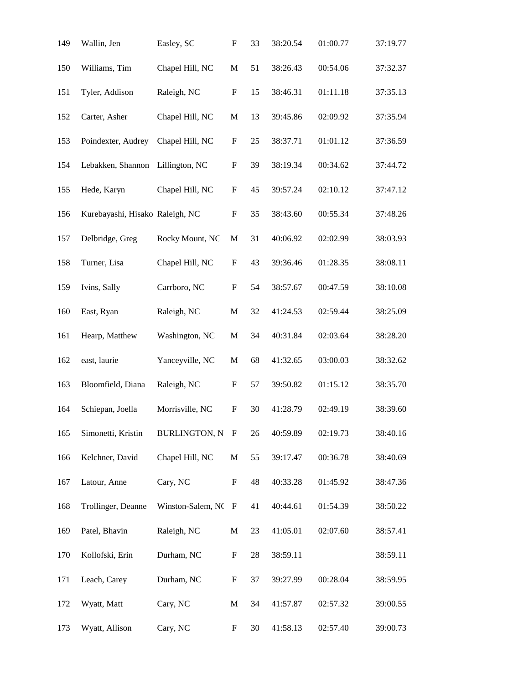| 149 | Wallin, Jen                     | Easley, SC           | $\boldsymbol{\mathrm{F}}$ | 33 | 38:20.54 | 01:00.77 | 37:19.77 |
|-----|---------------------------------|----------------------|---------------------------|----|----------|----------|----------|
| 150 | Williams, Tim                   | Chapel Hill, NC      | $\mathbf M$               | 51 | 38:26.43 | 00:54.06 | 37:32.37 |
| 151 | Tyler, Addison                  | Raleigh, NC          | ${\rm F}$                 | 15 | 38:46.31 | 01:11.18 | 37:35.13 |
| 152 | Carter, Asher                   | Chapel Hill, NC      | M                         | 13 | 39:45.86 | 02:09.92 | 37:35.94 |
| 153 | Poindexter, Audrey              | Chapel Hill, NC      | $\boldsymbol{\mathrm{F}}$ | 25 | 38:37.71 | 01:01.12 | 37:36.59 |
| 154 | Lebakken, Shannon               | Lillington, NC       | $\boldsymbol{\mathrm{F}}$ | 39 | 38:19.34 | 00:34.62 | 37:44.72 |
| 155 | Hede, Karyn                     | Chapel Hill, NC      | F                         | 45 | 39:57.24 | 02:10.12 | 37:47.12 |
| 156 | Kurebayashi, Hisako Raleigh, NC |                      | $\boldsymbol{\mathrm{F}}$ | 35 | 38:43.60 | 00:55.34 | 37:48.26 |
| 157 | Delbridge, Greg                 | Rocky Mount, NC      | $\mathbf M$               | 31 | 40:06.92 | 02:02.99 | 38:03.93 |
| 158 | Turner, Lisa                    | Chapel Hill, NC      | F                         | 43 | 39:36.46 | 01:28.35 | 38:08.11 |
| 159 | Ivins, Sally                    | Carrboro, NC         | $\boldsymbol{\mathrm{F}}$ | 54 | 38:57.67 | 00:47.59 | 38:10.08 |
| 160 | East, Ryan                      | Raleigh, NC          | $\mathbf M$               | 32 | 41:24.53 | 02:59.44 | 38:25.09 |
| 161 | Hearp, Matthew                  | Washington, NC       | $\mathbf M$               | 34 | 40:31.84 | 02:03.64 | 38:28.20 |
| 162 | east, laurie                    | Yanceyville, NC      | M                         | 68 | 41:32.65 | 03:00.03 | 38:32.62 |
| 163 | Bloomfield, Diana               | Raleigh, NC          | $\boldsymbol{\mathrm{F}}$ | 57 | 39:50.82 | 01:15.12 | 38:35.70 |
| 164 | Schiepan, Joella                | Morrisville, NC      | $\boldsymbol{\mathrm{F}}$ | 30 | 41:28.79 | 02:49.19 | 38:39.60 |
| 165 | Simonetti, Kristin              | <b>BURLINGTON, N</b> | $_{\rm F}$                | 26 | 40:59.89 | 02:19.73 | 38:40.16 |
| 166 | Kelchner, David                 | Chapel Hill, NC      | M                         | 55 | 39:17.47 | 00:36.78 | 38:40.69 |
| 167 | Latour, Anne                    | Cary, NC             | $\boldsymbol{\mathrm{F}}$ | 48 | 40:33.28 | 01:45.92 | 38:47.36 |
| 168 | Trollinger, Deanne              | Winston-Salem, NC    | $\mathbf F$               | 41 | 40:44.61 | 01:54.39 | 38:50.22 |
| 169 | Patel, Bhavin                   | Raleigh, NC          | M                         | 23 | 41:05.01 | 02:07.60 | 38:57.41 |
| 170 | Kollofski, Erin                 | Durham, NC           | F                         | 28 | 38:59.11 |          | 38:59.11 |
| 171 | Leach, Carey                    | Durham, NC           | $\boldsymbol{\mathrm{F}}$ | 37 | 39:27.99 | 00:28.04 | 38:59.95 |
| 172 | Wyatt, Matt                     | Cary, NC             | M                         | 34 | 41:57.87 | 02:57.32 | 39:00.55 |
| 173 | Wyatt, Allison                  | Cary, NC             | F                         | 30 | 41:58.13 | 02:57.40 | 39:00.73 |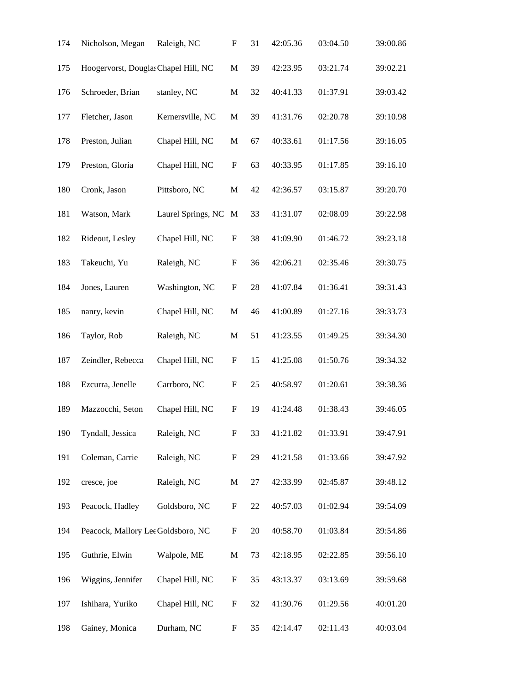| 174 | Nicholson, Megan                     | Raleigh, NC        | F                         | 31     | 42:05.36 | 03:04.50 | 39:00.86 |
|-----|--------------------------------------|--------------------|---------------------------|--------|----------|----------|----------|
| 175 | Hoogervorst, Douglas Chapel Hill, NC |                    | $\mathbf M$               | 39     | 42:23.95 | 03:21.74 | 39:02.21 |
| 176 | Schroeder, Brian                     | stanley, NC        | $\mathbf M$               | 32     | 40:41.33 | 01:37.91 | 39:03.42 |
| 177 | Fletcher, Jason                      | Kernersville, NC   | M                         | 39     | 41:31.76 | 02:20.78 | 39:10.98 |
| 178 | Preston, Julian                      | Chapel Hill, NC    | M                         | 67     | 40:33.61 | 01:17.56 | 39:16.05 |
| 179 | Preston, Gloria                      | Chapel Hill, NC    | $\boldsymbol{\mathrm{F}}$ | 63     | 40:33.95 | 01:17.85 | 39:16.10 |
| 180 | Cronk, Jason                         | Pittsboro, NC      | M                         | 42     | 42:36.57 | 03:15.87 | 39:20.70 |
| 181 | Watson, Mark                         | Laurel Springs, NC | M                         | 33     | 41:31.07 | 02:08.09 | 39:22.98 |
| 182 | Rideout, Lesley                      | Chapel Hill, NC    | F                         | 38     | 41:09.90 | 01:46.72 | 39:23.18 |
| 183 | Takeuchi, Yu                         | Raleigh, NC        | $\boldsymbol{\mathrm{F}}$ | 36     | 42:06.21 | 02:35.46 | 39:30.75 |
| 184 | Jones, Lauren                        | Washington, NC     | ${\rm F}$                 | 28     | 41:07.84 | 01:36.41 | 39:31.43 |
| 185 | nanry, kevin                         | Chapel Hill, NC    | M                         | 46     | 41:00.89 | 01:27.16 | 39:33.73 |
| 186 | Taylor, Rob                          | Raleigh, NC        | $\mathbf M$               | 51     | 41:23.55 | 01:49.25 | 39:34.30 |
| 187 | Zeindler, Rebecca                    | Chapel Hill, NC    | F                         | 15     | 41:25.08 | 01:50.76 | 39:34.32 |
| 188 | Ezcurra, Jenelle                     | Carrboro, NC       | $\boldsymbol{\mathrm{F}}$ | 25     | 40:58.97 | 01:20.61 | 39:38.36 |
| 189 | Mazzocchi, Seton                     | Chapel Hill, NC    | ${\rm F}$                 | 19     | 41:24.48 | 01:38.43 | 39:46.05 |
| 190 | Tyndall, Jessica                     | Raleigh, NC        | ${\rm F}$                 | 33     | 41:21.82 | 01:33.91 | 39:47.91 |
| 191 | Coleman, Carrie                      | Raleigh, NC        | ${\rm F}$                 | 29     | 41:21.58 | 01:33.66 | 39:47.92 |
| 192 | cresce, joe                          | Raleigh, NC        | $\mathbf M$               | $27\,$ | 42:33.99 | 02:45.87 | 39:48.12 |
| 193 | Peacock, Hadley                      | Goldsboro, NC      | $\boldsymbol{\mathrm{F}}$ | $22\,$ | 40:57.03 | 01:02.94 | 39:54.09 |
| 194 | Peacock, Mallory Lee Goldsboro, NC   |                    | F                         | 20     | 40:58.70 | 01:03.84 | 39:54.86 |
| 195 | Guthrie, Elwin                       | Walpole, ME        | M                         | 73     | 42:18.95 | 02:22.85 | 39:56.10 |
| 196 | Wiggins, Jennifer                    | Chapel Hill, NC    | $\boldsymbol{\mathrm{F}}$ | 35     | 43:13.37 | 03:13.69 | 39:59.68 |
| 197 | Ishihara, Yuriko                     | Chapel Hill, NC    | ${\rm F}$                 | 32     | 41:30.76 | 01:29.56 | 40:01.20 |
| 198 | Gainey, Monica                       | Durham, NC         | ${\rm F}$                 | 35     | 42:14.47 | 02:11.43 | 40:03.04 |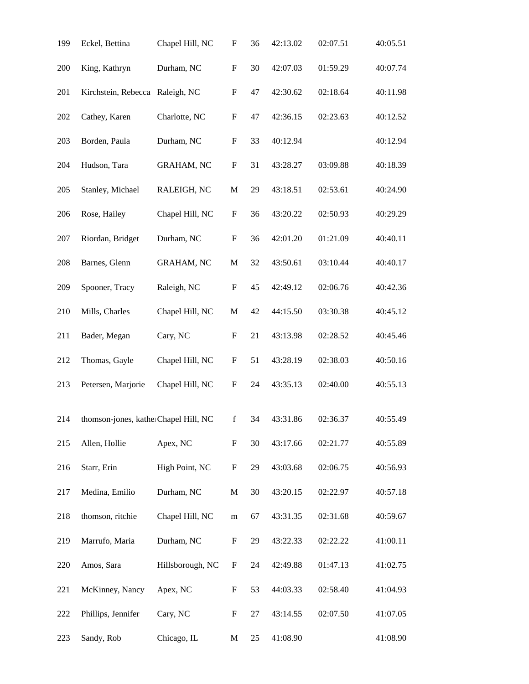| 199 | Eckel, Bettina                       | Chapel Hill, NC   | F                         | 36 | 42:13.02 | 02:07.51 | 40:05.51 |
|-----|--------------------------------------|-------------------|---------------------------|----|----------|----------|----------|
| 200 | King, Kathryn                        | Durham, NC        | $\mathbf F$               | 30 | 42:07.03 | 01:59.29 | 40:07.74 |
| 201 | Kirchstein, Rebecca Raleigh, NC      |                   | $\boldsymbol{\mathrm{F}}$ | 47 | 42:30.62 | 02:18.64 | 40:11.98 |
| 202 | Cathey, Karen                        | Charlotte, NC     | F                         | 47 | 42:36.15 | 02:23.63 | 40:12.52 |
| 203 | Borden, Paula                        | Durham, NC        | $\boldsymbol{\mathrm{F}}$ | 33 | 40:12.94 |          | 40:12.94 |
| 204 | Hudson, Tara                         | <b>GRAHAM, NC</b> | ${\bf F}$                 | 31 | 43:28.27 | 03:09.88 | 40:18.39 |
| 205 | Stanley, Michael                     | RALEIGH, NC       | $\mathbf M$               | 29 | 43:18.51 | 02:53.61 | 40:24.90 |
| 206 | Rose, Hailey                         | Chapel Hill, NC   | $\boldsymbol{\mathrm{F}}$ | 36 | 43:20.22 | 02:50.93 | 40:29.29 |
| 207 | Riordan, Bridget                     | Durham, NC        | $\boldsymbol{\mathrm{F}}$ | 36 | 42:01.20 | 01:21.09 | 40:40.11 |
| 208 | Barnes, Glenn                        | <b>GRAHAM, NC</b> | $\mathbf M$               | 32 | 43:50.61 | 03:10.44 | 40:40.17 |
| 209 | Spooner, Tracy                       | Raleigh, NC       | $\boldsymbol{\mathrm{F}}$ | 45 | 42:49.12 | 02:06.76 | 40:42.36 |
| 210 | Mills, Charles                       | Chapel Hill, NC   | M                         | 42 | 44:15.50 | 03:30.38 | 40:45.12 |
| 211 | Bader, Megan                         | Cary, NC          | $\boldsymbol{\mathrm{F}}$ | 21 | 43:13.98 | 02:28.52 | 40:45.46 |
| 212 | Thomas, Gayle                        | Chapel Hill, NC   | $\boldsymbol{\mathrm{F}}$ | 51 | 43:28.19 | 02:38.03 | 40:50.16 |
| 213 | Petersen, Marjorie                   | Chapel Hill, NC   | F                         | 24 | 43:35.13 | 02:40.00 | 40:55.13 |
| 214 | thomson-jones, katherChapel Hill, NC |                   | $\mathbf f$               | 34 | 43:31.86 | 02:36.37 | 40:55.49 |
| 215 | Allen, Hollie                        | Apex, NC          | F                         | 30 | 43:17.66 | 02:21.77 | 40:55.89 |
| 216 | Starr, Erin                          | High Point, NC    | $\boldsymbol{\mathrm{F}}$ | 29 | 43:03.68 | 02:06.75 | 40:56.93 |
| 217 | Medina, Emilio                       | Durham, NC        | $\mathbf M$               | 30 | 43:20.15 | 02:22.97 | 40:57.18 |
| 218 | thomson, ritchie                     | Chapel Hill, NC   | m                         | 67 | 43:31.35 | 02:31.68 | 40:59.67 |
| 219 | Marrufo, Maria                       | Durham, NC        | F                         | 29 | 43:22.33 | 02:22.22 | 41:00.11 |
| 220 | Amos, Sara                           | Hillsborough, NC  | F                         | 24 | 42:49.88 | 01:47.13 | 41:02.75 |
| 221 | McKinney, Nancy                      | Apex, NC          | F                         | 53 | 44:03.33 | 02:58.40 | 41:04.93 |
| 222 | Phillips, Jennifer                   | Cary, NC          | F                         | 27 | 43:14.55 | 02:07.50 | 41:07.05 |
| 223 | Sandy, Rob                           | Chicago, IL       | M                         | 25 | 41:08.90 |          | 41:08.90 |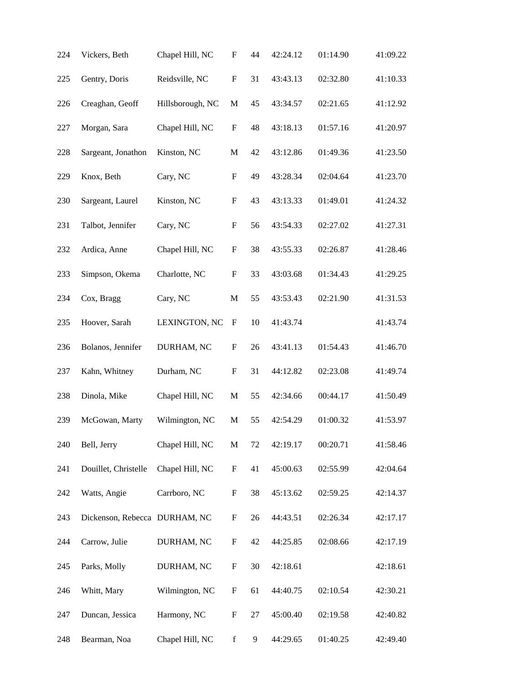| 224 | Vickers, Beth                 | Chapel Hill, NC  | F                         | 44 | 42:24.12 | 01:14.90 | 41:09.22 |
|-----|-------------------------------|------------------|---------------------------|----|----------|----------|----------|
| 225 | Gentry, Doris                 | Reidsville, NC   | $\boldsymbol{\mathrm{F}}$ | 31 | 43:43.13 | 02:32.80 | 41:10.33 |
| 226 | Creaghan, Geoff               | Hillsborough, NC | $\mathbf M$               | 45 | 43:34.57 | 02:21.65 | 41:12.92 |
| 227 | Morgan, Sara                  | Chapel Hill, NC  | F                         | 48 | 43:18.13 | 01:57.16 | 41:20.97 |
| 228 | Sargeant, Jonathon            | Kinston, NC      | $\mathbf M$               | 42 | 43:12.86 | 01:49.36 | 41:23.50 |
| 229 | Knox, Beth                    | Cary, NC         | F                         | 49 | 43:28.34 | 02:04.64 | 41:23.70 |
| 230 | Sargeant, Laurel              | Kinston, NC      | $\boldsymbol{\mathrm{F}}$ | 43 | 43:13.33 | 01:49.01 | 41:24.32 |
| 231 | Talbot, Jennifer              | Cary, NC         | $\mathbf F$               | 56 | 43:54.33 | 02:27.02 | 41:27.31 |
| 232 | Ardica, Anne                  | Chapel Hill, NC  | F                         | 38 | 43:55.33 | 02:26.87 | 41:28.46 |
| 233 | Simpson, Okema                | Charlotte, NC    | F                         | 33 | 43:03.68 | 01:34.43 | 41:29.25 |
| 234 | Cox, Bragg                    | Cary, NC         | $\mathbf M$               | 55 | 43:53.43 | 02:21.90 | 41:31.53 |
| 235 | Hoover, Sarah                 | LEXINGTON, NC    | F                         | 10 | 41:43.74 |          | 41:43.74 |
| 236 | Bolanos, Jennifer             | DURHAM, NC       | F                         | 26 | 43:41.13 | 01:54.43 | 41:46.70 |
| 237 | Kahn, Whitney                 | Durham, NC       | $\boldsymbol{\mathrm{F}}$ | 31 | 44:12.82 | 02:23.08 | 41:49.74 |
| 238 | Dinola, Mike                  | Chapel Hill, NC  | M                         | 55 | 42:34.66 | 00:44.17 | 41:50.49 |
| 239 | McGowan, Marty                | Wilmington, NC   | M                         | 55 | 42:54.29 | 01:00.32 | 41:53.97 |
| 240 | Bell, Jerry                   | Chapel Hill, NC  | $\mathbf M$               | 72 | 42:19.17 | 00:20.71 | 41:58.46 |
| 241 | Douillet, Christelle          | Chapel Hill, NC  | F                         | 41 | 45:00.63 | 02:55.99 | 42:04.64 |
| 242 | Watts, Angie                  | Carrboro, NC     | ${\rm F}$                 | 38 | 45:13.62 | 02:59.25 | 42:14.37 |
| 243 | Dickenson, Rebecca DURHAM, NC |                  | $\boldsymbol{\mathrm{F}}$ | 26 | 44:43.51 | 02:26.34 | 42:17.17 |
| 244 | Carrow, Julie                 | DURHAM, NC       | F                         | 42 | 44:25.85 | 02:08.66 | 42:17.19 |
| 245 | Parks, Molly                  | DURHAM, NC       | ${\rm F}$                 | 30 | 42:18.61 |          | 42:18.61 |
| 246 | Whitt, Mary                   | Wilmington, NC   | $\mathbf F$               | 61 | 44:40.75 | 02:10.54 | 42:30.21 |
| 247 | Duncan, Jessica               | Harmony, NC      | ${\rm F}$                 | 27 | 45:00.40 | 02:19.58 | 42:40.82 |
| 248 | Bearman, Noa                  | Chapel Hill, NC  | $\mathbf f$               | 9  | 44:29.65 | 01:40.25 | 42:49.40 |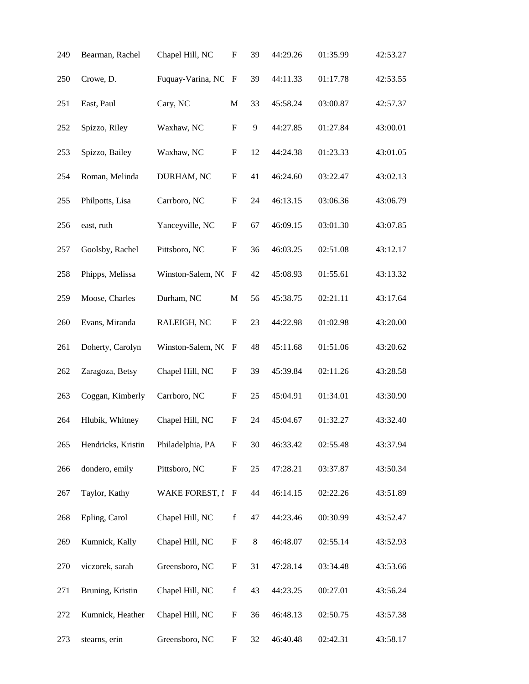| 249 | Bearman, Rachel    | Chapel Hill, NC       | F                         | 39    | 44:29.26 | 01:35.99 | 42:53.27 |
|-----|--------------------|-----------------------|---------------------------|-------|----------|----------|----------|
| 250 | Crowe, D.          | Fuquay-Varina, NC     | $\mathbf F$               | 39    | 44:11.33 | 01:17.78 | 42:53.55 |
| 251 | East, Paul         | Cary, NC              | $\mathbf M$               | 33    | 45:58.24 | 03:00.87 | 42:57.37 |
| 252 | Spizzo, Riley      | Waxhaw, NC            | $\boldsymbol{\mathrm{F}}$ | 9     | 44:27.85 | 01:27.84 | 43:00.01 |
| 253 | Spizzo, Bailey     | Waxhaw, NC            | $\mathbf F$               | 12    | 44:24.38 | 01:23.33 | 43:01.05 |
| 254 | Roman, Melinda     | DURHAM, NC            | F                         | 41    | 46:24.60 | 03:22.47 | 43:02.13 |
| 255 | Philpotts, Lisa    | Carrboro, NC          | F                         | 24    | 46:13.15 | 03:06.36 | 43:06.79 |
| 256 | east, ruth         | Yanceyville, NC       | $\boldsymbol{\mathrm{F}}$ | 67    | 46:09.15 | 03:01.30 | 43:07.85 |
| 257 | Goolsby, Rachel    | Pittsboro, NC         | $\boldsymbol{\mathrm{F}}$ | 36    | 46:03.25 | 02:51.08 | 43:12.17 |
| 258 | Phipps, Melissa    | Winston-Salem, NC     | F                         | 42    | 45:08.93 | 01:55.61 | 43:13.32 |
| 259 | Moose, Charles     | Durham, NC            | M                         | 56    | 45:38.75 | 02:21.11 | 43:17.64 |
| 260 | Evans, Miranda     | RALEIGH, NC           | $\boldsymbol{\mathrm{F}}$ | 23    | 44:22.98 | 01:02.98 | 43:20.00 |
| 261 | Doherty, Carolyn   | Winston-Salem, NO     | F                         | 48    | 45:11.68 | 01:51.06 | 43:20.62 |
| 262 | Zaragoza, Betsy    | Chapel Hill, NC       | F                         | 39    | 45:39.84 | 02:11.26 | 43:28.58 |
| 263 | Coggan, Kimberly   | Carrboro, NC          | F                         | 25    | 45:04.91 | 01:34.01 | 43:30.90 |
| 264 | Hlubik, Whitney    | Chapel Hill, NC       | F                         | 24    | 45:04.67 | 01:32.27 | 43:32.40 |
| 265 | Hendricks, Kristin | Philadelphia, PA      | F                         | 30    | 46:33.42 | 02:55.48 | 43:37.94 |
| 266 | dondero, emily     | Pittsboro, NC         | $\boldsymbol{\mathrm{F}}$ | 25    | 47:28.21 | 03:37.87 | 43:50.34 |
| 267 | Taylor, Kathy      | <b>WAKE FOREST, I</b> | $\, {\bf F}$              | 44    | 46:14.15 | 02:22.26 | 43:51.89 |
| 268 | Epling, Carol      | Chapel Hill, NC       | $\mathbf f$               | 47    | 44:23.46 | 00:30.99 | 43:52.47 |
| 269 | Kumnick, Kally     | Chapel Hill, NC       | F                         | $8\,$ | 46:48.07 | 02:55.14 | 43:52.93 |
| 270 | viczorek, sarah    | Greensboro, NC        | ${\rm F}$                 | 31    | 47:28.14 | 03:34.48 | 43:53.66 |
| 271 | Bruning, Kristin   | Chapel Hill, NC       | $\mathbf f$               | 43    | 44:23.25 | 00:27.01 | 43:56.24 |
| 272 | Kumnick, Heather   | Chapel Hill, NC       | ${\rm F}$                 | 36    | 46:48.13 | 02:50.75 | 43:57.38 |
| 273 | stearns, erin      | Greensboro, NC        | F                         | 32    | 46:40.48 | 02:42.31 | 43:58.17 |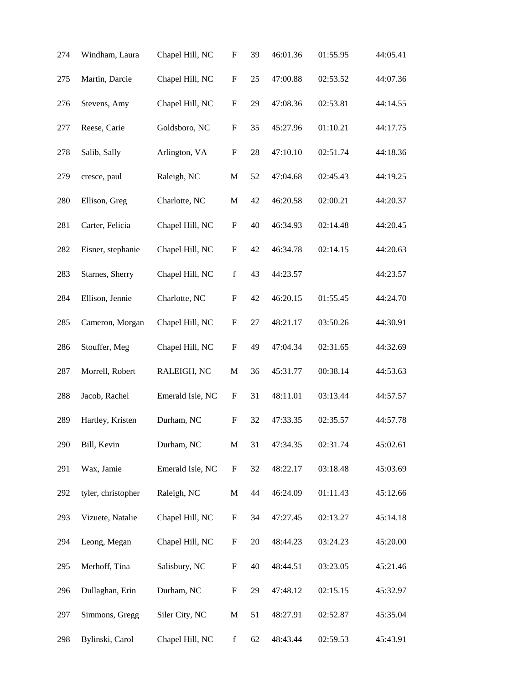| 274 | Windham, Laura     | Chapel Hill, NC  | F                         | 39 | 46:01.36 | 01:55.95 | 44:05.41 |
|-----|--------------------|------------------|---------------------------|----|----------|----------|----------|
| 275 | Martin, Darcie     | Chapel Hill, NC  | $\mathbf F$               | 25 | 47:00.88 | 02:53.52 | 44:07.36 |
| 276 | Stevens, Amy       | Chapel Hill, NC  | $\boldsymbol{\mathrm{F}}$ | 29 | 47:08.36 | 02:53.81 | 44:14.55 |
| 277 | Reese, Carie       | Goldsboro, NC    | F                         | 35 | 45:27.96 | 01:10.21 | 44:17.75 |
| 278 | Salib, Sally       | Arlington, VA    | $\boldsymbol{\mathrm{F}}$ | 28 | 47:10.10 | 02:51.74 | 44:18.36 |
| 279 | cresce, paul       | Raleigh, NC      | $\mathbf M$               | 52 | 47:04.68 | 02:45.43 | 44:19.25 |
| 280 | Ellison, Greg      | Charlotte, NC    | M                         | 42 | 46:20.58 | 02:00.21 | 44:20.37 |
| 281 | Carter, Felicia    | Chapel Hill, NC  | $\boldsymbol{\mathrm{F}}$ | 40 | 46:34.93 | 02:14.48 | 44:20.45 |
| 282 | Eisner, stephanie  | Chapel Hill, NC  | F                         | 42 | 46:34.78 | 02:14.15 | 44:20.63 |
| 283 | Starnes, Sherry    | Chapel Hill, NC  | $\mathbf f$               | 43 | 44:23.57 |          | 44:23.57 |
| 284 | Ellison, Jennie    | Charlotte, NC    | $\boldsymbol{\mathrm{F}}$ | 42 | 46:20.15 | 01:55.45 | 44:24.70 |
| 285 | Cameron, Morgan    | Chapel Hill, NC  | $\boldsymbol{\mathrm{F}}$ | 27 | 48:21.17 | 03:50.26 | 44:30.91 |
| 286 | Stouffer, Meg      | Chapel Hill, NC  | $\boldsymbol{\mathrm{F}}$ | 49 | 47:04.34 | 02:31.65 | 44:32.69 |
| 287 | Morrell, Robert    | RALEIGH, NC      | $\mathbf M$               | 36 | 45:31.77 | 00:38.14 | 44:53.63 |
| 288 | Jacob, Rachel      | Emerald Isle, NC | $\boldsymbol{\mathrm{F}}$ | 31 | 48:11.01 | 03:13.44 | 44:57.57 |
| 289 | Hartley, Kristen   | Durham, NC       | $\boldsymbol{\mathrm{F}}$ | 32 | 47:33.35 | 02:35.57 | 44:57.78 |
| 290 | Bill, Kevin        | Durham, NC       | $\mathbf M$               | 31 | 47:34.35 | 02:31.74 | 45:02.61 |
| 291 | Wax, Jamie         | Emerald Isle, NC | ${\bf F}$                 | 32 | 48:22.17 | 03:18.48 | 45:03.69 |
| 292 | tyler, christopher | Raleigh, NC      | M                         | 44 | 46:24.09 | 01:11.43 | 45:12.66 |
| 293 | Vizuete, Natalie   | Chapel Hill, NC  | $\boldsymbol{\mathrm{F}}$ | 34 | 47:27.45 | 02:13.27 | 45:14.18 |
| 294 | Leong, Megan       | Chapel Hill, NC  | $\boldsymbol{\mathrm{F}}$ | 20 | 48:44.23 | 03:24.23 | 45:20.00 |
| 295 | Merhoff, Tina      | Salisbury, NC    | ${\rm F}$                 | 40 | 48:44.51 | 03:23.05 | 45:21.46 |
| 296 | Dullaghan, Erin    | Durham, NC       | $\boldsymbol{\mathrm{F}}$ | 29 | 47:48.12 | 02:15.15 | 45:32.97 |
| 297 | Simmons, Gregg     | Siler City, NC   | $\mathbf M$               | 51 | 48:27.91 | 02:52.87 | 45:35.04 |
| 298 | Bylinski, Carol    | Chapel Hill, NC  | $\mathbf f$               | 62 | 48:43.44 | 02:59.53 | 45:43.91 |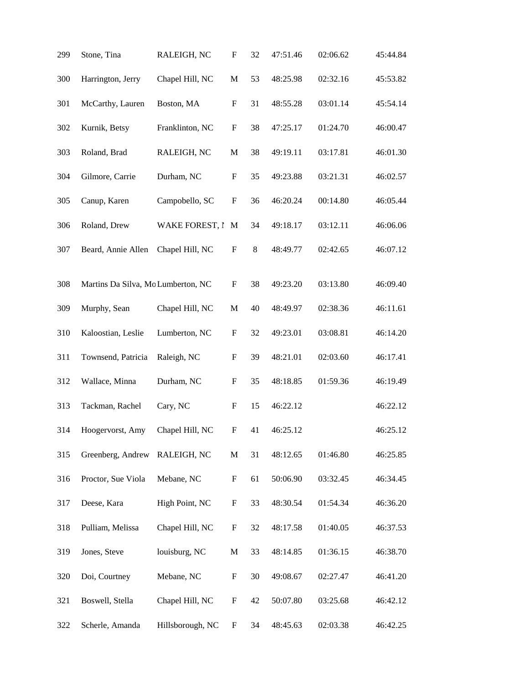| 299 | Stone, Tina                        | RALEIGH, NC      | F                         | 32      | 47:51.46 | 02:06.62 | 45:44.84 |
|-----|------------------------------------|------------------|---------------------------|---------|----------|----------|----------|
| 300 | Harrington, Jerry                  | Chapel Hill, NC  | $\mathbf M$               | 53      | 48:25.98 | 02:32.16 | 45:53.82 |
| 301 | McCarthy, Lauren                   | Boston, MA       | $\boldsymbol{\mathrm{F}}$ | 31      | 48:55.28 | 03:01.14 | 45:54.14 |
| 302 | Kurnik, Betsy                      | Franklinton, NC  | F                         | 38      | 47:25.17 | 01:24.70 | 46:00.47 |
| 303 | Roland, Brad                       | RALEIGH, NC      | M                         | 38      | 49:19.11 | 03:17.81 | 46:01.30 |
| 304 | Gilmore, Carrie                    | Durham, NC       | F                         | 35      | 49:23.88 | 03:21.31 | 46:02.57 |
| 305 | Canup, Karen                       | Campobello, SC   | F                         | 36      | 46:20.24 | 00:14.80 | 46:05.44 |
| 306 | Roland, Drew                       | WAKE FOREST, I   | M                         | 34      | 49:18.17 | 03:12.11 | 46:06.06 |
| 307 | Beard, Annie Allen                 | Chapel Hill, NC  | F                         | $\,8\,$ | 48:49.77 | 02:42.65 | 46:07.12 |
| 308 | Martins Da Silva, Mo Lumberton, NC |                  | F                         | 38      | 49:23.20 | 03:13.80 | 46:09.40 |
| 309 | Murphy, Sean                       | Chapel Hill, NC  | $\mathbf M$               | 40      | 48:49.97 | 02:38.36 | 46:11.61 |
| 310 | Kaloostian, Leslie                 | Lumberton, NC    | F                         | 32      | 49:23.01 | 03:08.81 | 46:14.20 |
| 311 | Townsend, Patricia                 | Raleigh, NC      | $\boldsymbol{\mathrm{F}}$ | 39      | 48:21.01 | 02:03.60 | 46:17.41 |
| 312 | Wallace, Minna                     | Durham, NC       | F                         | 35      | 48:18.85 | 01:59.36 | 46:19.49 |
| 313 | Tackman, Rachel                    | Cary, NC         | F                         | 15      | 46:22.12 |          | 46:22.12 |
| 314 | Hoogervorst, Amy                   | Chapel Hill, NC  | F                         | 41      | 46:25.12 |          | 46:25.12 |
| 315 | Greenberg, Andrew                  | RALEIGH, NC      | $\mathbf M$               | 31      | 48:12.65 | 01:46.80 | 46:25.85 |
| 316 | Proctor, Sue Viola                 | Mebane, NC       | F                         | 61      | 50:06.90 | 03:32.45 | 46:34.45 |
| 317 | Deese, Kara                        | High Point, NC   | $\boldsymbol{\mathrm{F}}$ | 33      | 48:30.54 | 01:54.34 | 46:36.20 |
| 318 | Pulliam, Melissa                   | Chapel Hill, NC  | $\boldsymbol{\mathrm{F}}$ | 32      | 48:17.58 | 01:40.05 | 46:37.53 |
| 319 | Jones, Steve                       | louisburg, NC    | $\mathbf M$               | 33      | 48:14.85 | 01:36.15 | 46:38.70 |
| 320 | Doi, Courtney                      | Mebane, NC       | F                         | 30      | 49:08.67 | 02:27.47 | 46:41.20 |
| 321 | Boswell, Stella                    | Chapel Hill, NC  | F                         | 42      | 50:07.80 | 03:25.68 | 46:42.12 |
| 322 | Scherle, Amanda                    | Hillsborough, NC | F                         | 34      | 48:45.63 | 02:03.38 | 46:42.25 |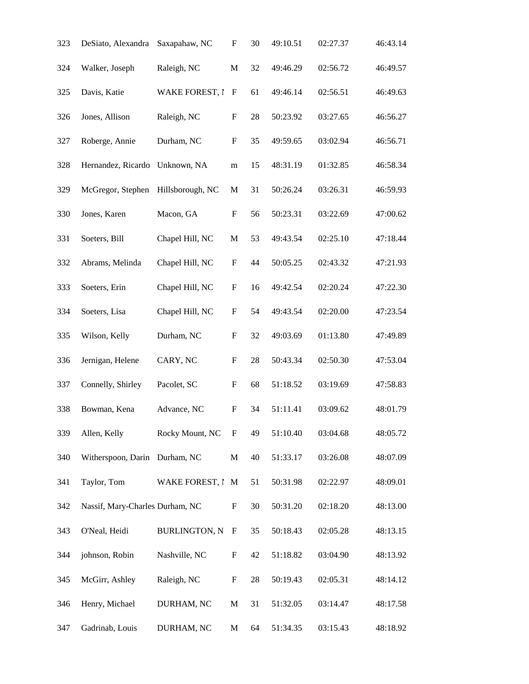| 323 | DeSiato, Alexandra              | Saxapahaw, NC         | F                         | 30     | 49:10.51 | 02:27.37 | 46:43.14 |
|-----|---------------------------------|-----------------------|---------------------------|--------|----------|----------|----------|
| 324 | Walker, Joseph                  | Raleigh, NC           | $\mathbf M$               | 32     | 49:46.29 | 02:56.72 | 46:49.57 |
| 325 | Davis, Katie                    | <b>WAKE FOREST, I</b> | F                         | 61     | 49:46.14 | 02:56.51 | 46:49.63 |
| 326 | Jones, Allison                  | Raleigh, NC           | F                         | 28     | 50:23.92 | 03:27.65 | 46:56.27 |
| 327 | Roberge, Annie                  | Durham, NC            | $\boldsymbol{\mathrm{F}}$ | 35     | 49:59.65 | 03:02.94 | 46:56.71 |
| 328 | Hernandez, Ricardo              | Unknown, NA           | m                         | 15     | 48:31.19 | 01:32.85 | 46:58.34 |
| 329 | McGregor, Stephen               | Hillsborough, NC      | M                         | 31     | 50:26.24 | 03:26.31 | 46:59.93 |
| 330 | Jones, Karen                    | Macon, GA             | F                         | 56     | 50:23.31 | 03:22.69 | 47:00.62 |
| 331 | Soeters, Bill                   | Chapel Hill, NC       | $\mathbf M$               | 53     | 49:43.54 | 02:25.10 | 47:18.44 |
| 332 | Abrams, Melinda                 | Chapel Hill, NC       | F                         | 44     | 50:05.25 | 02:43.32 | 47:21.93 |
| 333 | Soeters, Erin                   | Chapel Hill, NC       | $\boldsymbol{\mathrm{F}}$ | 16     | 49:42.54 | 02:20.24 | 47:22.30 |
| 334 | Soeters, Lisa                   | Chapel Hill, NC       | $\boldsymbol{\mathrm{F}}$ | 54     | 49:43.54 | 02:20.00 | 47:23.54 |
| 335 | Wilson, Kelly                   | Durham, NC            | F                         | 32     | 49:03.69 | 01:13.80 | 47:49.89 |
| 336 | Jernigan, Helene                | CARY, NC              | F                         | $28\,$ | 50:43.34 | 02:50.30 | 47:53.04 |
| 337 | Connelly, Shirley               | Pacolet, SC           | F                         | 68     | 51:18.52 | 03:19.69 | 47:58.83 |
| 338 | Bowman, Kena                    | Advance, NC           | $\boldsymbol{\mathrm{F}}$ | 34     | 51:11.41 | 03:09.62 | 48:01.79 |
| 339 | Allen, Kelly                    | Rocky Mount, NC       | F                         | 49     | 51:10.40 | 03:04.68 | 48:05.72 |
| 340 | Witherspoon, Darin Durham, NC   |                       | M                         | 40     | 51:33.17 | 03:26.08 | 48:07.09 |
| 341 | Taylor, Tom                     | WAKE FOREST, I M      |                           | 51     | 50:31.98 | 02:22.97 | 48:09.01 |
| 342 | Nassif, Mary-Charles Durham, NC |                       | F                         | 30     | 50:31.20 | 02:18.20 | 48:13.00 |
| 343 | O'Neal, Heidi                   | <b>BURLINGTON, N</b>  | F                         | 35     | 50:18.43 | 02:05.28 | 48:13.15 |
| 344 | johnson, Robin                  | Nashville, NC         | $\boldsymbol{\mathrm{F}}$ | 42     | 51:18.82 | 03:04.90 | 48:13.92 |
| 345 | McGirr, Ashley                  | Raleigh, NC           | $\boldsymbol{\mathrm{F}}$ | $28\,$ | 50:19.43 | 02:05.31 | 48:14.12 |
| 346 | Henry, Michael                  | DURHAM, NC            | $\mathbf M$               | 31     | 51:32.05 | 03:14.47 | 48:17.58 |
| 347 | Gadrinab, Louis                 | DURHAM, NC            | M                         | 64     | 51:34.35 | 03:15.43 | 48:18.92 |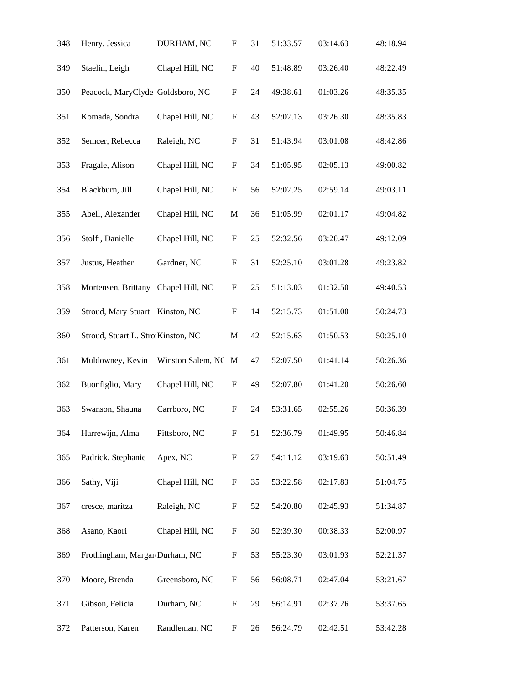| 348 | Henry, Jessica                     | DURHAM, NC          | F                         | 31 | 51:33.57 | 03:14.63 | 48:18.94 |
|-----|------------------------------------|---------------------|---------------------------|----|----------|----------|----------|
| 349 | Staelin, Leigh                     | Chapel Hill, NC     | $\mathbf{F}$              | 40 | 51:48.89 | 03:26.40 | 48:22.49 |
| 350 | Peacock, MaryClyde Goldsboro, NC   |                     | F                         | 24 | 49:38.61 | 01:03.26 | 48:35.35 |
| 351 | Komada, Sondra                     | Chapel Hill, NC     | F                         | 43 | 52:02.13 | 03:26.30 | 48:35.83 |
| 352 | Semcer, Rebecca                    | Raleigh, NC         | $\boldsymbol{\mathrm{F}}$ | 31 | 51:43.94 | 03:01.08 | 48:42.86 |
| 353 | Fragale, Alison                    | Chapel Hill, NC     | $\boldsymbol{\mathrm{F}}$ | 34 | 51:05.95 | 02:05.13 | 49:00.82 |
| 354 | Blackburn, Jill                    | Chapel Hill, NC     | $\boldsymbol{\mathrm{F}}$ | 56 | 52:02.25 | 02:59.14 | 49:03.11 |
| 355 | Abell, Alexander                   | Chapel Hill, NC     | $\mathbf M$               | 36 | 51:05.99 | 02:01.17 | 49:04.82 |
| 356 | Stolfi, Danielle                   | Chapel Hill, NC     | $\boldsymbol{\mathrm{F}}$ | 25 | 52:32.56 | 03:20.47 | 49:12.09 |
| 357 | Justus, Heather                    | Gardner, NC         | F                         | 31 | 52:25.10 | 03:01.28 | 49:23.82 |
| 358 | Mortensen, Brittany                | Chapel Hill, NC     | $\boldsymbol{\mathrm{F}}$ | 25 | 51:13.03 | 01:32.50 | 49:40.53 |
| 359 | Stroud, Mary Stuart Kinston, NC    |                     | $\mathbf{F}$              | 14 | 52:15.73 | 01:51.00 | 50:24.73 |
| 360 | Stroud, Stuart L. Stro Kinston, NC |                     | $\mathbf M$               | 42 | 52:15.63 | 01:50.53 | 50:25.10 |
| 361 | Muldowney, Kevin                   | Winston Salem, NC M |                           | 47 | 52:07.50 | 01:41.14 | 50:26.36 |
| 362 | Buonfiglio, Mary                   | Chapel Hill, NC     | F                         | 49 | 52:07.80 | 01:41.20 | 50:26.60 |
| 363 | Swanson, Shauna                    | Carrboro, NC        | F                         | 24 | 53:31.65 | 02:55.26 | 50:36.39 |
| 364 | Harrewijn, Alma                    | Pittsboro, NC       | $\boldsymbol{\mathrm{F}}$ | 51 | 52:36.79 | 01:49.95 | 50:46.84 |
| 365 | Padrick, Stephanie                 | Apex, NC            | F                         | 27 | 54:11.12 | 03:19.63 | 50:51.49 |
| 366 | Sathy, Viji                        | Chapel Hill, NC     | $\boldsymbol{\mathrm{F}}$ | 35 | 53:22.58 | 02:17.83 | 51:04.75 |
| 367 | cresce, maritza                    | Raleigh, NC         | $\boldsymbol{\mathrm{F}}$ | 52 | 54:20.80 | 02:45.93 | 51:34.87 |
| 368 | Asano, Kaori                       | Chapel Hill, NC     | $\boldsymbol{\mathrm{F}}$ | 30 | 52:39.30 | 00:38.33 | 52:00.97 |
| 369 | Frothingham, Margar Durham, NC     |                     | $\boldsymbol{\mathrm{F}}$ | 53 | 55:23.30 | 03:01.93 | 52:21.37 |
| 370 | Moore, Brenda                      | Greensboro, NC      | $\boldsymbol{\mathrm{F}}$ | 56 | 56:08.71 | 02:47.04 | 53:21.67 |
| 371 | Gibson, Felicia                    | Durham, NC          | F                         | 29 | 56:14.91 | 02:37.26 | 53:37.65 |
| 372 | Patterson, Karen                   | Randleman, NC       | F                         | 26 | 56:24.79 | 02:42.51 | 53:42.28 |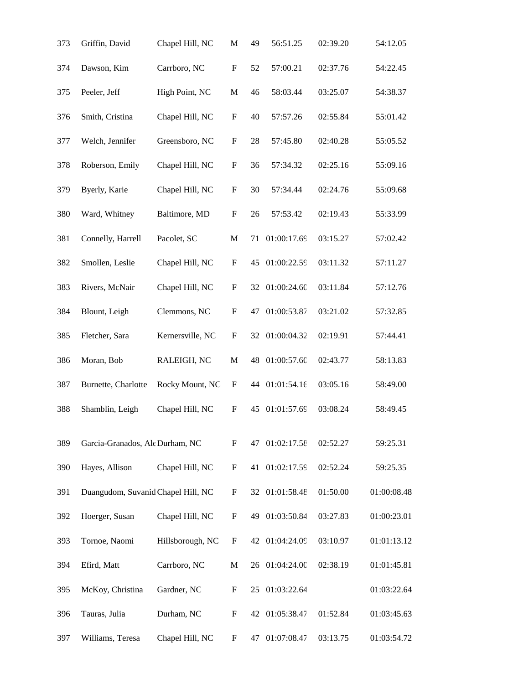| 373 | Griffin, David                     | Chapel Hill, NC  | М                         | 49 | 56:51.25    | 02:39.20 | 54:12.05    |
|-----|------------------------------------|------------------|---------------------------|----|-------------|----------|-------------|
| 374 | Dawson, Kim                        | Carrboro, NC     | $\mathbf F$               | 52 | 57:00.21    | 02:37.76 | 54:22.45    |
| 375 | Peeler, Jeff                       | High Point, NC   | $\mathbf M$               | 46 | 58:03.44    | 03:25.07 | 54:38.37    |
| 376 | Smith, Cristina                    | Chapel Hill, NC  | F                         | 40 | 57:57.26    | 02:55.84 | 55:01.42    |
| 377 | Welch, Jennifer                    | Greensboro, NC   | $\boldsymbol{\mathrm{F}}$ | 28 | 57:45.80    | 02:40.28 | 55:05.52    |
| 378 | Roberson, Emily                    | Chapel Hill, NC  | $\boldsymbol{\mathrm{F}}$ | 36 | 57:34.32    | 02:25.16 | 55:09.16    |
| 379 | Byerly, Karie                      | Chapel Hill, NC  | $\mathbf F$               | 30 | 57:34.44    | 02:24.76 | 55:09.68    |
| 380 | Ward, Whitney                      | Baltimore, MD    | $\boldsymbol{\mathrm{F}}$ | 26 | 57:53.42    | 02:19.43 | 55:33.99    |
| 381 | Connelly, Harrell                  | Pacolet, SC      | $\mathbf M$               | 71 | 01:00:17.69 | 03:15.27 | 57:02.42    |
| 382 | Smollen, Leslie                    | Chapel Hill, NC  | F                         | 45 | 01:00:22.59 | 03:11.32 | 57:11.27    |
| 383 | Rivers, McNair                     | Chapel Hill, NC  | $\boldsymbol{\mathrm{F}}$ | 32 | 01:00:24.60 | 03:11.84 | 57:12.76    |
| 384 | Blount, Leigh                      | Clemmons, NC     | $\boldsymbol{\mathrm{F}}$ | 47 | 01:00:53.87 | 03:21.02 | 57:32.85    |
| 385 | Fletcher, Sara                     | Kernersville, NC | ${\rm F}$                 | 32 | 01:00:04.32 | 02:19.91 | 57:44.41    |
| 386 | Moran, Bob                         | RALEIGH, NC      | $\mathbf M$               | 48 | 01:00:57.60 | 02:43.77 | 58:13.83    |
| 387 | Burnette, Charlotte                | Rocky Mount, NC  | F                         | 44 | 01:01:54.16 | 03:05.16 | 58:49.00    |
| 388 | Shamblin, Leigh                    | Chapel Hill, NC  | $\boldsymbol{\mathrm{F}}$ | 45 | 01:01:57.69 | 03:08.24 | 58:49.45    |
| 389 | Garcia-Granados, Ale Durham, NC    |                  | F                         | 47 | 01:02:17.58 | 02:52.27 | 59:25.31    |
| 390 | Hayes, Allison                     | Chapel Hill, NC  | $\mathbf F$               | 41 | 01:02:17.59 | 02:52.24 | 59:25.35    |
| 391 | Duangudom, Suvanid Chapel Hill, NC |                  | ${\bf F}$                 | 32 | 01:01:58.48 | 01:50.00 | 01:00:08.48 |
| 392 | Hoerger, Susan                     | Chapel Hill, NC  | F                         | 49 | 01:03:50.84 | 03:27.83 | 01:00:23.01 |
| 393 | Tornoe, Naomi                      | Hillsborough, NC | $\boldsymbol{\mathrm{F}}$ | 42 | 01:04:24.09 | 03:10.97 | 01:01:13.12 |
| 394 | Efird, Matt                        | Carrboro, NC     | M                         | 26 | 01:04:24.00 | 02:38.19 | 01:01:45.81 |
| 395 | McKoy, Christina                   | Gardner, NC      | F                         | 25 | 01:03:22.64 |          | 01:03:22.64 |
| 396 | Tauras, Julia                      | Durham, NC       | F                         | 42 | 01:05:38.47 | 01:52.84 | 01:03:45.63 |
| 397 | Williams, Teresa                   | Chapel Hill, NC  | F                         | 47 | 01:07:08.47 | 03:13.75 | 01:03:54.72 |